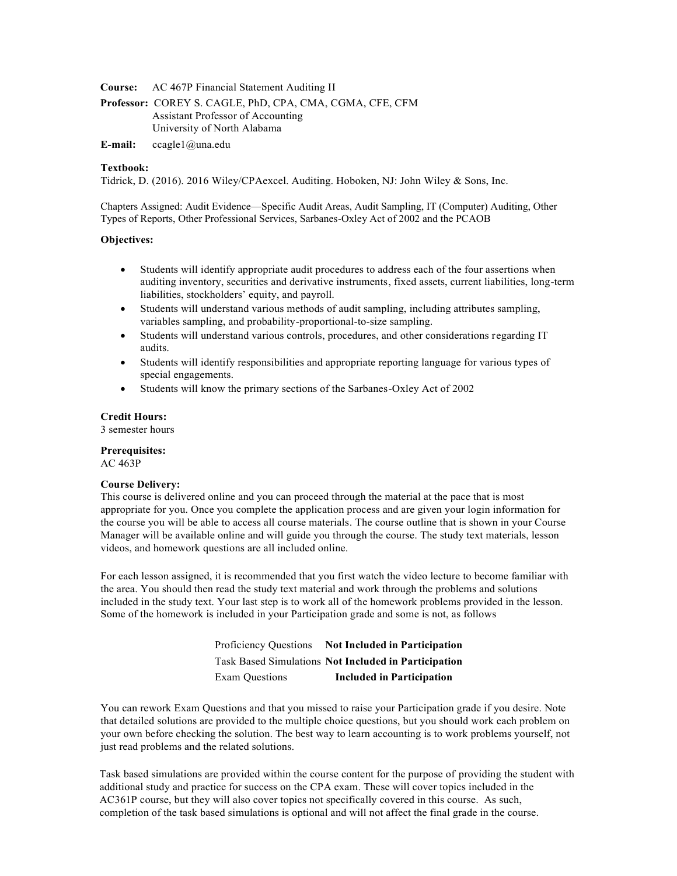**Course:** AC 467P Financial Statement Auditing II

**Professor:** COREY S. CAGLE, PhD, CPA, CMA, CGMA, CFE, CFM Assistant Professor of Accounting University of North Alabama

**E-mail:** [ccagle1@una.edu](mailto:ccagle1@una.edu)

### **Textbook:**

Tidrick, D. (2016). 2016 Wiley/CPAexcel. Auditing. Hoboken, NJ: John Wiley & Sons, Inc.

Chapters Assigned: Audit Evidence—Specific Audit Areas, Audit Sampling, IT (Computer) Auditing, Other Types of Reports, Other Professional Services, Sarbanes-Oxley Act of 2002 and the PCAOB

#### **Objectives:**

- Students will identify appropriate audit procedures to address each of the four assertions when auditing inventory, securities and derivative instruments, fixed assets, current liabilities, long-term liabilities, stockholders' equity, and payroll.
- x Students will understand various methods of audit sampling, including attributes sampling, variables sampling, and probability-proportional-to-size sampling.
- Students will understand various controls, procedures, and other considerations regarding IT audits.
- Students will identify responsibilities and appropriate reporting language for various types of special engagements.
- Students will know the primary sections of the Sarbanes-Oxley Act of 2002

#### **Credit Hours:**

3 semester hours

#### **Prerequisites:**

AC 463P

#### **Course Delivery:**

This course is delivered online and you can proceed through the material at the pace that is most appropriate for you. Once you complete the application process and are given your login information for the course you will be able to access all course materials. The course outline that is shown in your Course Manager will be available online and will guide you through the course. The study text materials, lesson videos, and homework questions are all included online.

For each lesson assigned, it is recommended that you first watch the video lecture to become familiar with the area. You should then read the study text material and work through the problems and solutions included in the study text. Your last step is to work all of the homework problems provided in the lesson. Some of the homework is included in your Participation grade and some is not, as follows

> Proficiency Questions **Not Included in Participation** Task Based Simulations **Not Included in Participation** Exam Questions **Included in Participation**

You can rework Exam Questions and that you missed to raise your Participation grade if you desire. Note that detailed solutions are provided to the multiple choice questions, but you should work each problem on your own before checking the solution. The best way to learn accounting is to work problems yourself, not just read problems and the related solutions.

Task based simulations are provided within the course content for the purpose of providing the student with additional study and practice for success on the CPA exam. These will cover topics included in the AC361P course, but they will also cover topics not specifically covered in this course. As such, completion of the task based simulations is optional and will not affect the final grade in the course.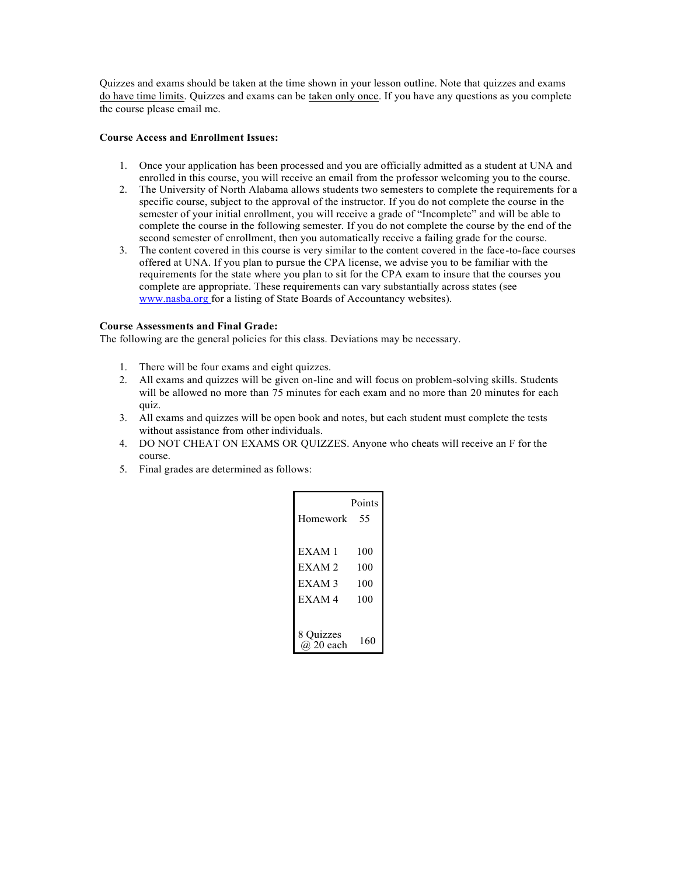Quizzes and exams should be taken at the time shown in your lesson outline. Note that quizzes and exams do have time limits. Quizzes and exams can be taken only once. If you have any questions as you complete the course please email me.

## **Course Access and Enrollment Issues:**

- 1. Once your application has been processed and you are officially admitted as a student at UNA and enrolled in this course, you will receive an email from the professor welcoming you to the course.
- 2. The University of North Alabama allows students two semesters to complete the requirements for a specific course, subject to the approval of the instructor. If you do not complete the course in the semester of your initial enrollment, you will receive a grade of "Incomplete" and will be able to complete the course in the following semester. If you do not complete the course by the end of the second semester of enrollment, then you automatically receive a failing grade for the course.
- 3. The content covered in this course is very similar to the content covered in the face-to-face courses offered at UNA. If you plan to pursue the CPA license, we advise you to be familiar with the requirements for the state where you plan to sit for the CPA exam to insure that the courses you complete are appropriate. These requirements can vary substantially across states (see [www.nasba.org f](http://www.nasba.org/)or a listing of State Boards of Accountancy websites).

## **Course Assessments and Final Grade:**

The following are the general policies for this class. Deviations may be necessary.

- 1. There will be four exams and eight quizzes.
- 2. All exams and quizzes will be given on-line and will focus on problem-solving skills. Students will be allowed no more than 75 minutes for each exam and no more than 20 minutes for each quiz.
- 3. All exams and quizzes will be open book and notes, but each student must complete the tests without assistance from other individuals.
- 4. DO NOT CHEAT ON EXAMS OR QUIZZES. Anyone who cheats will receive an F for the course.
- 5. Final grades are determined as follows:

| Homework                                                 | Points<br>55             |
|----------------------------------------------------------|--------------------------|
| EXAM1<br>EXAM <sub>2</sub><br>EXAM <sub>3</sub><br>EXAM4 | 100<br>100<br>100<br>100 |
| 8 Quizzes<br>$(a)$ 20 each                               | 160                      |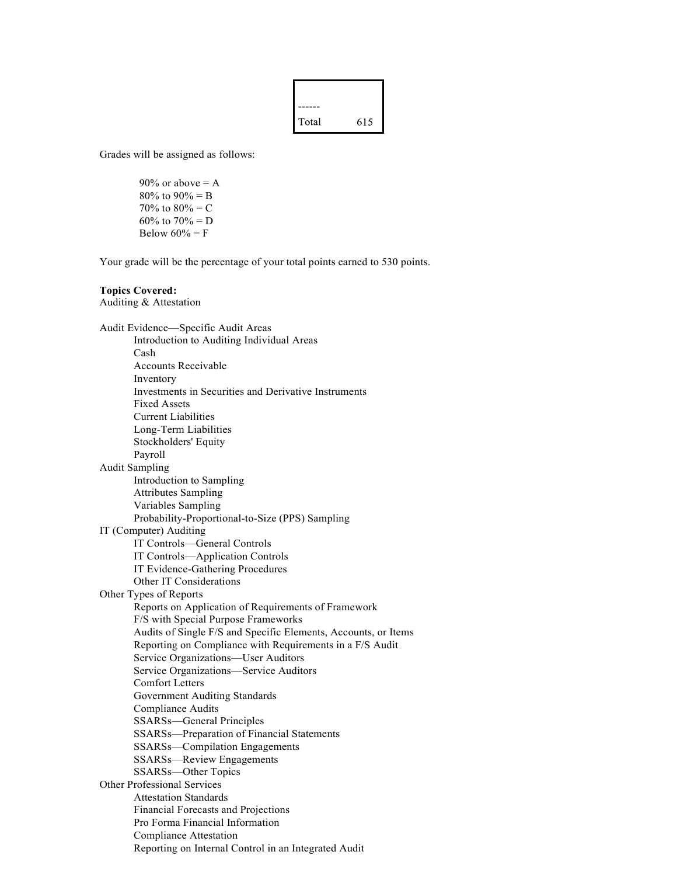

Grades will be assigned as follows:

 $90\%$  or above = A 80% to  $90% = B$ 70% to  $80% = C$ 60% to  $70% = D$ Below  $60\% = F$ 

Your grade will be the percentage of your total points earned to 530 points.

### **Topics Covered:**

Auditing & Attestation

Audit Evidence—Specific Audit Areas Introduction to Auditing Individual Areas Cash Accounts Receivable Inventory Investments in Securities and Derivative Instruments Fixed Assets Current Liabilities Long-Term Liabilities Stockholders' Equity Payroll Audit Sampling Introduction to Sampling Attributes Sampling Variables Sampling Probability-Proportional-to-Size (PPS) Sampling IT (Computer) Auditing IT Controls—General Controls IT Controls—Application Controls IT Evidence-Gathering Procedures Other IT Considerations Other Types of Reports Reports on Application of Requirements of Framework F/S with Special Purpose Frameworks Audits of Single F/S and Specific Elements, Accounts, or Items Reporting on Compliance with Requirements in a F/S Audit Service Organizations—User Auditors Service Organizations—Service Auditors Comfort Letters Government Auditing Standards Compliance Audits SSARSs—General Principles SSARSs—Preparation of Financial Statements SSARSs—Compilation Engagements SSARSs—Review Engagements SSARSs—Other Topics Other Professional Services Attestation Standards Financial Forecasts and Projections Pro Forma Financial Information Compliance Attestation Reporting on Internal Control in an Integrated Audit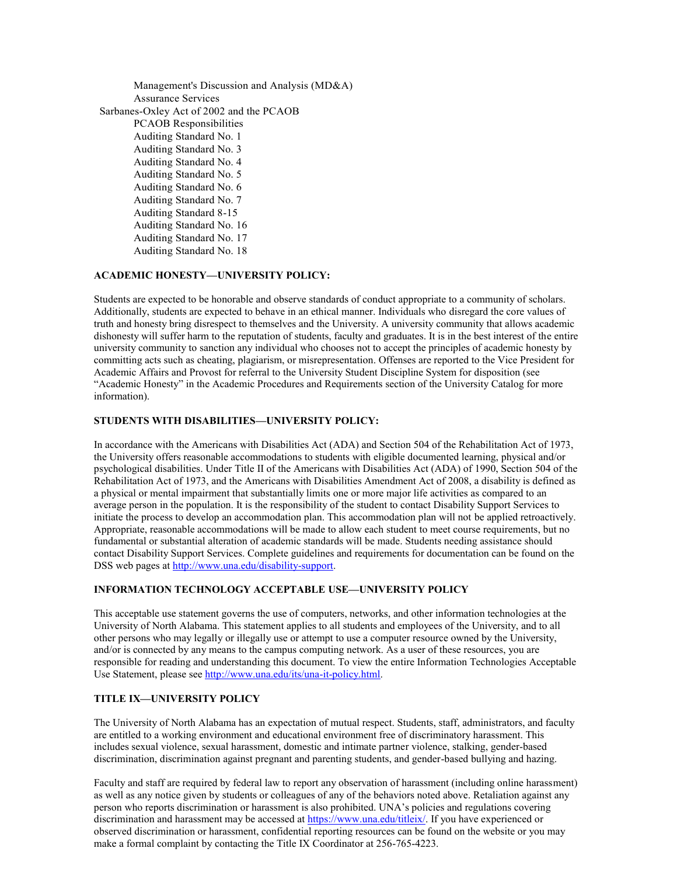Management's Discussion and Analysis (MD&A) Assurance Services Sarbanes-Oxley Act of 2002 and the PCAOB PCAOB Responsibilities Auditing Standard No. 1 Auditing Standard No. 3 Auditing Standard No. 4 Auditing Standard No. 5 Auditing Standard No. 6 Auditing Standard No. 7 Auditing Standard 8-15 Auditing Standard No. 16 Auditing Standard No. 17 Auditing Standard No. 18

# **ACADEMIC HONESTY—UNIVERSITY POLICY:**

Students are expected to be honorable and observe standards of conduct appropriate to a community of scholars. Additionally, students are expected to behave in an ethical manner. Individuals who disregard the core values of truth and honesty bring disrespect to themselves and the University. A university community that allows academic dishonesty will suffer harm to the reputation of students, faculty and graduates. It is in the best interest of the entire university community to sanction any individual who chooses not to accept the principles of academic honesty by committing acts such as cheating, plagiarism, or misrepresentation. Offenses are reported to the Vice President for Academic Affairs and Provost for referral to the University Student Discipline System for disposition (see "Academic Honesty" in the Academic Procedures and Requirements section of the University Catalog for more information).

## **STUDENTS WITH DISABILITIES—UNIVERSITY POLICY:**

In accordance with the Americans with Disabilities Act (ADA) and Section 504 of the Rehabilitation Act of 1973, the University offers reasonable accommodations to students with eligible documented learning, physical and/or psychological disabilities. Under Title II of the Americans with Disabilities Act (ADA) of 1990, Section 504 of the Rehabilitation Act of 1973, and the Americans with Disabilities Amendment Act of 2008, a disability is defined as a physical or mental impairment that substantially limits one or more major life activities as compared to an average person in the population. It is the responsibility of the student to contact Disability Support Services to initiate the process to develop an accommodation plan. This accommodation plan will not be applied retroactively. Appropriate, reasonable accommodations will be made to allow each student to meet course requirements, but no fundamental or substantial alteration of academic standards will be made. Students needing assistance should contact Disability Support Services. Complete guidelines and requirements for documentation can be found on the DSS web pages at [http://www.una.edu/disability-support.](http://www.una.edu/disability-support)

## **INFORMATION TECHNOLOGY ACCEPTABLE USE—UNIVERSITY POLICY**

This acceptable use statement governs the use of computers, networks, and other information technologies at the University of North Alabama. This statement applies to all students and employees of the University, and to all other persons who may legally or illegally use or attempt to use a computer resource owned by the University, and/or is connected by any means to the campus computing network. As a user of these resources, you are responsible for reading and understanding this document. To view the entire Information Technologies Acceptable Use Statement, please se[e http://www.una.edu/its/una-it-policy.html.](http://www.una.edu/its/una-it-policy.html)

### **TITLE IX—UNIVERSITY POLICY**

The University of North Alabama has an expectation of mutual respect. Students, staff, administrators, and faculty are entitled to a working environment and educational environment free of discriminatory harassment. This includes sexual violence, sexual harassment, domestic and intimate partner violence, stalking, gender-based discrimination, discrimination against pregnant and parenting students, and gender-based bullying and hazing.

Faculty and staff are required by federal law to report any observation of harassment (including online harassment) as well as any notice given by students or colleagues of any of the behaviors noted above. Retaliation against any person who reports discrimination or harassment is also prohibited. UNA's policies and regulations covering discrimination and harassment may be accessed at [https://www.una.edu/titleix/.](https://www.una.edu/titleix/) If you have experienced or observed discrimination or harassment, confidential reporting resources can be found on the website or you may make a formal complaint by contacting the Title IX Coordinator at 256-765-4223.